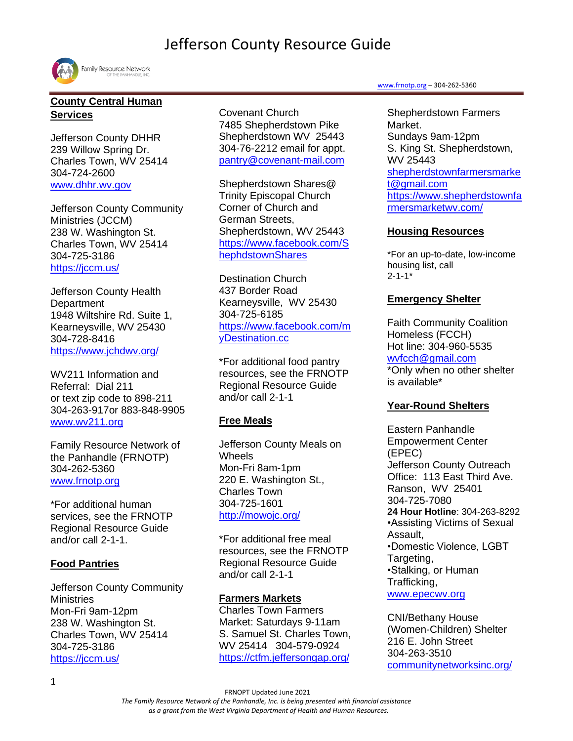

## **County Central Human Services**

Jefferson County DHHR 239 Willow Spring Dr. Charles Town, WV 25414 304-724-2600 [www.dhhr.wv.gov](http://www.dhhr.wv.gov/)

Jefferson County Community Ministries (JCCM) 238 W. Washington St. Charles Town, WV 25414 304-725-3186 <https://jccm.us/>

Jefferson County Health **Department** 1948 Wiltshire Rd. Suite 1, Kearneysville, WV 25430 304-728-8416 <https://www.jchdwv.org/>

WV211 Information and Referral: Dial 211 or text zip code to 898-211 304-263-917or 883-848-9905 [www.wv211.org](file:///C:/Users/Kristeng/Desktop/2021%20Resource%20Guide%20edits/Resource%20guides%202020/Regional%20and%20County%202020/Jefferson%20Co.%20Resource%20Guide%2006.2020%20final.docx)

Family Resource Network of the Panhandle (FRNOTP) 304-262-5360 [www.frnotp.org](http://www.frnotp.org/)

\*For additional human services, see the FRNOTP Regional Resource Guide and/or call 2-1-1.

## **Food Pantries**

Jefferson County Community **Ministries** Mon-Fri 9am-12pm 238 W. Washington St. Charles Town, WV 25414 304-725-3186 <https://jccm.us/>

Covenant Church 7485 Shepherdstown Pike Shepherdstown WV 25443 304-76-2212 email for appt. [pantry@covenant-mail.com](mailto:pantry@covenant-mail.com)

Shepherdstown Shares@ Trinity Episcopal Church Corner of Church and German Streets, Shepherdstown, WV 25443 [https://www.facebook.com/S](https://www.facebook.com/ShephdstownShares) [hephdstownShares](https://www.facebook.com/ShephdstownShares)

Destination Church 437 Border Road Kearneysville, WV 25430 304-725-6185 [https://www.facebook.com/m](https://www.facebook.com/myDestination.cc) [yDestination.cc](https://www.facebook.com/myDestination.cc)

\*For additional food pantry resources, see the FRNOTP Regional Resource Guide and/or call 2-1-1

## **Free Meals**

Jefferson County Meals on **Wheels** Mon-Fri 8am-1pm 220 E. Washington St., Charles Town 304-725-1601 <http://mowojc.org/>

\*For additional free meal resources, see the FRNOTP Regional Resource Guide and/or call 2-1-1

## **Farmers Markets**

Charles Town Farmers Market: Saturdays 9-11am S. Samuel St. Charles Town, WV 25414 304-579-0924 <https://ctfm.jeffersongap.org/>

#### [www.frnotp.org](http://www.frnotp.org/) – 304-262-5360

Shepherdstown Farmers Market. Sundays 9am-12pm S. King St. Shepherdstown, WV 25443 [shepherdstownfarmersmarke](mailto:shepherdstownfarmersmarket@gmail.com) [t@gmail.com](mailto:shepherdstownfarmersmarket@gmail.com) [https://www.shepherdstownfa](https://www.shepherdstownfarmersmarketwv.com/) [rmersmarketwv.com/](https://www.shepherdstownfarmersmarketwv.com/)

## **Housing Resources**

\*For an up-to-date, low-income housing list, call  $2 - 1 - 1*$ 

## **Emergency Shelter**

Faith Community Coalition Homeless (FCCH) Hot line: 304-960-5535 [wvfcch@gmail.com](mailto:wvfcch@gmail.com) \*Only when no other shelter is available\*

## **Year-Round Shelters**

Eastern Panhandle Empowerment Center (EPEC) Jefferson County Outreach Office: 113 East Third Ave. Ranson, WV 25401 304-725-7080 **24 Hour Hotline**: 304-263-8292 •Assisting Victims of Sexual Assault, •Domestic Violence, LGBT Targeting, •Stalking, or Human Trafficking, [www.epecwv.org](http://www.epecwv.org/)

CNI/Bethany House (Women-Children) Shelter 216 E. John Street 304-263-3510 [communitynetworksinc.org/](https://communitynetworksinc.org/)

FRNOPT Updated June 2021

*The Family Resource Network of the Panhandle, Inc. is being presented with financial assistance* 

*as a grant from the West Virginia Department of Health and Human Resources.*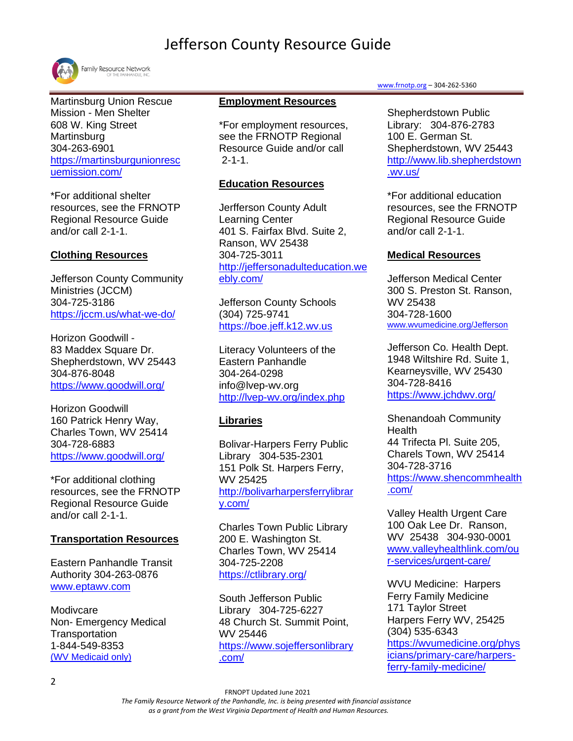

Martinsburg Union Rescue Mission - Men Shelter 608 W. King Street **Martinsburg** 304-263-6901 [https://martinsburgunionresc](https://martinsburgunionrescuemission.com/) [uemission.com/](https://martinsburgunionrescuemission.com/)

\*For additional shelter resources, see the FRNOTP Regional Resource Guide and/or call 2-1-1.

## **Clothing Resources**

Jefferson County Community Ministries (JCCM) 304-725-3186 <https://jccm.us/what-we-do/>

Horizon Goodwill - 83 Maddex Square Dr. Shepherdstown, WV 25443 304-876-8048 <https://www.goodwill.org/>

Horizon Goodwill 160 Patrick Henry Way, Charles Town, WV 25414 304-728-6883 <https://www.goodwill.org/>

\*For additional clothing resources, see the FRNOTP Regional Resource Guide and/or call 2-1-1.

## **Transportation Resources**

Eastern Panhandle Transit Authority 304-263-0876 [www.eptawv.com](http://www.eptawv.com/)

Modivcare Non- Emergency Medical **Transportation** 1-844-549-8353 [\(WV](https://www.logisticare.com/) Medicaid only)

#### **Employment Resources**

\*For employment resources, see the FRNOTP Regional Resource Guide and/or call 2-1-1.

### **Education Resources**

Jerfferson County Adult Learning Center 401 S. Fairfax Blvd. Suite 2, Ranson, WV 25438 304-725-3011 [http://jeffersonadulteducation.we](http://jeffersonadulteducation.weebly.com/) [ebly.com/](http://jeffersonadulteducation.weebly.com/)

Jefferson County Schools (304) 725-9741 [https://boe.jeff.k12.wv.us](https://boe.jeff.k12.wv.us/)

Literacy Volunteers of the Eastern Panhandle 304-264-0298 info@lvep-wv.org <http://lvep-wv.org/index.php>

## **Libraries**

Bolivar-Harpers Ferry Public Library 304-535-2301 151 Polk St. Harpers Ferry, WV 25425 [http://bolivarharpersferrylibrar](http://bolivarharpersferrylibrary.com/) [y.com/](http://bolivarharpersferrylibrary.com/)

Charles Town Public Library 200 E. Washington St. Charles Town, WV 25414 304-725-2208 <https://ctlibrary.org/>

South Jefferson Public Library 304-725-6227 48 Church St. Summit Point, WV 25446 [https://www.sojeffersonlibrary](https://www.sojeffersonlibrary.com/) [.com/](https://www.sojeffersonlibrary.com/)

#### [www.frnotp.org](http://www.frnotp.org/) – 304-262-5360

Shepherdstown Public Library: 304-876-2783 100 E. German St. Shepherdstown, WV 25443 [http://www.lib.shepherdstown](http://www.lib.shepherdstown.wv.us/) [.wv.us/](http://www.lib.shepherdstown.wv.us/)

\*For additional education resources, see the FRNOTP Regional Resource Guide and/or call 2-1-1.

### **Medical Resources**

Jefferson Medical Center 300 S. Preston St. Ranson, WV 25438 304-728-1600 [www.wvumedicine.org/Jefferson](http://www.wvumedicine.org/Jefferson)

Jefferson Co. Health Dept. 1948 Wiltshire Rd. Suite 1, Kearneysville, WV 25430 304-728-8416 <https://www.jchdwv.org/>

Shenandoah Community Health 44 Trifecta Pl. Suite 205, Charels Town, WV 25414 304-728-3716 [https://www.shencommhealth](https://www.shencommhealth.com/) [.com/](https://www.shencommhealth.com/)

Valley Health Urgent Care 100 Oak Lee Dr. Ranson, WV 25438 304-930-0001 [www.valleyhealthlink.com/ou](http://www.valleyhealthlink.com/our-services/urgent-care/) [r-services/urgent-care/](http://www.valleyhealthlink.com/our-services/urgent-care/)

WVU Medicine: Harpers Ferry Family Medicine 171 Taylor Street Harpers Ferry WV, 25425 (304) 535-6343 [https://wvumedicine.org/phys](https://wvumedicine.org/physicians/primary-care/harpers-ferry-family-medicine/) [icians/primary-care/harpers](https://wvumedicine.org/physicians/primary-care/harpers-ferry-family-medicine/)[ferry-family-medicine/](https://wvumedicine.org/physicians/primary-care/harpers-ferry-family-medicine/)

*The Family Resource Network of the Panhandle, Inc. is being presented with financial assistance* 

 *as a grant from the West Virginia Department of Health and Human Resources.*

FRNOPT Updated June 2021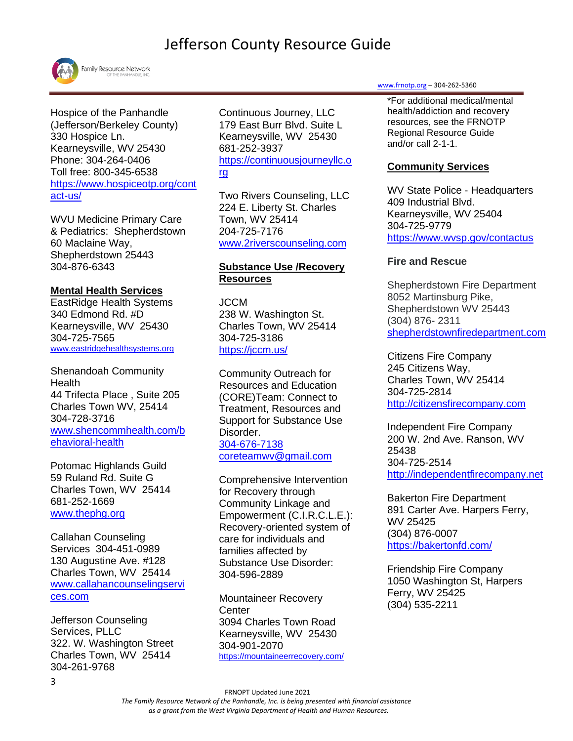

Hospice of the Panhandle (Jefferson/Berkeley County) 330 Hospice Ln. Kearneysville, WV 25430 Phone: 304-264-0406 Toll free: 800-345-6538 [https://www.hospiceotp.org/cont](https://www.hospiceotp.org/contact-us/) [act-us/](https://www.hospiceotp.org/contact-us/)

WVU Medicine Primary Care & Pediatrics: Shepherdstown 60 Maclaine Way, Shepherdstown 25443 304-876-6343

### **Mental Health Services**

EastRidge Health Systems 340 Edmond Rd. #D Kearneysville, WV 25430 304-725-7565 [www.eastridgehealthsystems.org](http://www.eastridgehealthsystems.org/)

Shenandoah Community **Health** 44 Trifecta Place , Suite 205 Charles Town WV, 25414 304-728-3716 [www.shencommhealth.com/b](http://www.shencommhealth.com/behavioral-health) [ehavioral-health](http://www.shencommhealth.com/behavioral-health)

Potomac Highlands Guild 59 Ruland Rd. Suite G Charles Town, WV 25414 681-252-1669 [www.thephg.org](http://www.thephg.org/)

Callahan Counseling Services 304-451-0989 130 Augustine Ave. #128 Charles Town, WV 25414 [www.callahancounselingservi](http://www.callahancounselingservices.com/) [ces.com](http://www.callahancounselingservices.com/)

Jefferson Counseling Services, PLLC 322. W. Washington Street Charles Town, WV 25414 304-261-9768

Continuous Journey, LLC 179 East Burr Blvd. Suite L Kearneysville, WV 25430 681-252-3937 [https://continuousjourneyllc.o](https://continuousjourneyllc.org/) [rg](https://continuousjourneyllc.org/)

Two Rivers Counseling, LLC 224 E. Liberty St. Charles Town, WV 25414 204-725-7176 [www.2riverscounseling.com](http://www.2riverscounseling.com/)

#### **Substance Use /Recovery Resources**

**JCCM** 238 W. Washington St. Charles Town, WV 25414 304-725-3186 <https://jccm.us/>

Community Outreach for Resources and Education (CORE)Team: Connect to Treatment, Resources and Support for Substance Use Disorder. 304-676-7138 [coreteamwv@gmail.com](mailto:coreteamwv@gmail.com)

Comprehensive Intervention for Recovery through Community Linkage and Empowerment (C.I.R.C.L.E.): Recovery-oriented system of care for individuals and families affected by Substance Use Disorder: 304-596-2889

Mountaineer Recovery **Center** 3094 Charles Town Road Kearneysville, WV 25430 304-901-2070 <https://mountaineerrecovery.com/>

#### [www.frnotp.org](http://www.frnotp.org/) – 304-262-5360

\*For additional medical/mental health/addiction and recovery resources, see the FRNOTP Regional Resource Guide and/or call 2-1-1.

### **Community Services**

WV State Police - Headquarters 409 Industrial Blvd. Kearneysville, WV 25404 304-725-9779 [https://www.wvsp.gov/contactus](https://www.wvsp.gov/contactus/detachmentContactInfo/Pages/default.aspx)

### **Fire and Rescue**

Shepherdstown Fire Department 8052 Martinsburg Pike, Shepherdstown WV 25443 (304) 876- 2311 [shepherdstownfiredepartment.com](https://shepherdstownfiredepartment.com/)

Citizens Fire Company 245 Citizens Way, Charles Town, WV 25414 304-725-2814 [http://citizensfirecompany.com](http://citizensfirecompany.com/)

Independent Fire Company 200 W. 2nd Ave. Ranson, WV 25438 304-725-2514 [http://independentfirecompany.net](http://independentfirecompany.net/)

[Bakerton Fire Department](https://bakertonfd.com/) 891 Carter Ave. Harpers Ferry, WV 25425 (304) 876-0007 <https://bakertonfd.com/>

Friendship Fire Company 1050 Washington St, Harpers Ferry, WV 25425 (304) 535-2211

 FRNOPT Updated June 2021 *The Family Resource Network of the Panhandle, Inc. is being presented with financial assistance as a grant from the West Virginia Department of Health and Human Resources.*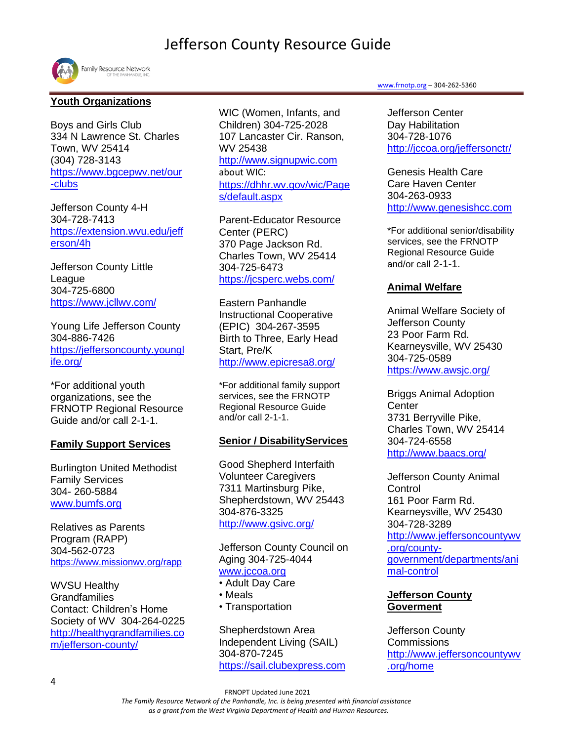

## **Youth Organizations**

Boys and Girls Club 334 N Lawrence St. Charles Town, WV 25414 (304) 728-3143 [https://www.bgcepwv.net/our](https://www.bgcepwv.net/our-clubs) [-clubs](https://www.bgcepwv.net/our-clubs)

Jefferson County 4-H 304-728-7413 [https://extension.wvu.edu/jeff](https://extension.wvu.edu/jefferson/4h) [erson/4h](https://extension.wvu.edu/jefferson/4h)

Jefferson County Little League [304-725-6800](tel:304-725-6800) <https://www.jcllwv.com/>

Young Life Jefferson County 304-886-7426 [https://jeffersoncounty.youngl](https://jeffersoncounty.younglife.org/) [ife.org/](https://jeffersoncounty.younglife.org/)

\*For additional youth organizations, see the FRNOTP Regional Resource Guide and/or call 2-1-1.

#### **Family Support Services**

Burlington United Methodist Family Services 304- 260-5884 [www.bumfs.org](http://www.bumfs.org/)

Relatives as Parents Program (RAPP) 304-562-0723 <https://www.missionwv.org/rapp>

WVSU Healthy Grandfamilies Contact: Children's Home Society of WV 304-264-0225 [http://healthygrandfamilies.co](http://healthygrandfamilies.com/jefferson-county/) [m/jefferson-county/](http://healthygrandfamilies.com/jefferson-county/)

WIC (Women, Infants, and Children) 304-725-2028 107 Lancaster Cir. Ranson, WV 25438 [http://www.signupwic.com](http://www.signupwic.com/?&utm_source=google&utm_term=wic&utm_campaign=WIC+-+Brand&utm_medium=cpc&utm_content=stdMRZOav_dc|pcrid|319844107420|pkw|wic|pmt|e) about WIC: [https://dhhr.wv.gov/wic/Page](https://dhhr.wv.gov/wic/Pages/default.aspx) [s/default.aspx](https://dhhr.wv.gov/wic/Pages/default.aspx)

Parent-Educator Resource Center (PERC) 370 Page Jackson Rd. Charles Town, WV 25414 304-725-6473 <https://jcsperc.webs.com/>

Eastern Panhandle Instructional Cooperative (EPIC) 304-267-3595 Birth to Three, Early Head Start, Pre/K <http://www.epicresa8.org/>

\*For additional family support services, see the FRNOTP Regional Resource Guide and/or call 2-1-1.

## **Senior / DisabilityServices**

Good Shepherd Interfaith Volunteer Caregivers 7311 Martinsburg Pike, Shepherdstown, WV 25443 304-876-3325 <http://www.gsivc.org/>

Jefferson County Council on Aging 304-725-4044 [www.jccoa.org](http://www.jccoa.org/)

- Adult Day Care
- Meals
- Transportation

Shepherdstown Area Independent Living (SAIL) 304-870-7245 [https://sail.clubexpress.com](https://sail.clubexpress.com/)

#### [www.frnotp.org](http://www.frnotp.org/) – 304-262-5360

Jefferson Center Day Habilitation 304-728-1076 <http://jccoa.org/jeffersonctr/>

Genesis Health Care Care Haven Center 304-263-0933 [http://www.genesishcc.com](http://www.genesishcc.com/)

\*For additional senior/disability services, see the FRNOTP Regional Resource Guide and/or call 2-1-1.

## **Animal Welfare**

Animal Welfare Society of Jefferson County 23 Poor Farm Rd. Kearneysville, WV 25430 304-725-0589 <https://www.awsjc.org/>

Briggs Animal Adoption **Center** 3731 Berryville Pike, Charles Town, WV 25414 304-724-6558 <http://www.baacs.org/>

Jefferson County Animal **Control** 161 Poor Farm Rd. Kearneysville, WV 25430 304-728-3289 [http://www.jeffersoncountywv](http://www.jeffersoncountywv.org/county-government/departments/animal-control) [.org/county](http://www.jeffersoncountywv.org/county-government/departments/animal-control)[government/departments/ani](http://www.jeffersoncountywv.org/county-government/departments/animal-control) [mal-control](http://www.jeffersoncountywv.org/county-government/departments/animal-control)

## **Jefferson County Goverment**

Jefferson County **Commissions** [http://www.jeffersoncountywv](http://www.jeffersoncountywv.org/home) [.org/home](http://www.jeffersoncountywv.org/home)

 *The Family Resource Network of the Panhandle, Inc. is being presented with financial assistance as a grant from the West Virginia Department of Health and Human Resources.*

FRNOPT Updated June 2021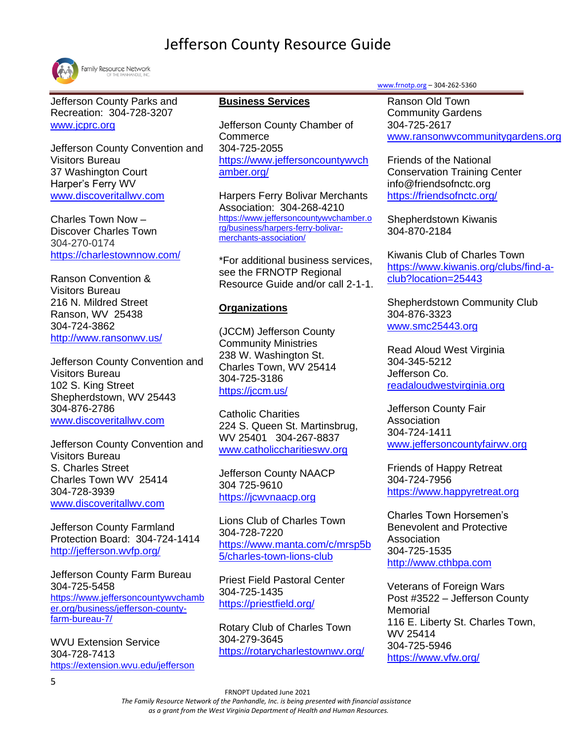

Jefferson County Parks and Recreation: 304-728-3207 [www.jcprc.org](http://www.jcprc.org/)

Jefferson County Convention and Visitors Bureau 37 Washington Court Harper's Ferry WV [www.discoveritallwv.com](http://www.discoveritallwv.com/)

Charles Town Now – Discover Charles Town 304-270-0174 <https://charlestownnow.com/>

Ranson Convention & Visitors Bureau 216 N. Mildred Street Ranson, WV 25438 304-724-3862 <http://www.ransonwv.us/>

Jefferson County Convention and Visitors Bureau 102 S. King Street Shepherdstown, WV 25443 304-876-2786 [www.discoveritallwv.com](http://www.discoveritallwv.com/)

Jefferson County Convention and Visitors Bureau S. Charles Street Charles Town WV 25414 304-728-3939 [www.discoveritallwv.com](http://www.discoveritallwv.com/)

Jefferson County Farmland Protection Board: [304-724-1414](tel:304-724-1414) <http://jefferson.wvfp.org/>

Jefferson County Farm Bureau 304-725-5458 [https://www.jeffersoncountywvchamb](https://www.jeffersoncountywvchamber.org/business/jefferson-county-farm-bureau-7/) [er.org/business/jefferson-county](https://www.jeffersoncountywvchamber.org/business/jefferson-county-farm-bureau-7/)[farm-bureau-7/](https://www.jeffersoncountywvchamber.org/business/jefferson-county-farm-bureau-7/)

WVU Extension Service 304-728-7413 <https://extension.wvu.edu/jefferson>

#### **Business Services**

Jefferson County Chamber of **Commerce** 304-725-2055 [https://www.jeffersoncountywvch](https://www.jeffersoncountywvchamber.org/) [amber.org/](https://www.jeffersoncountywvchamber.org/)

Harpers Ferry Bolivar Merchants Association: 304-268-4210 [https://www.jeffersoncountywvchamber.o](https://www.jeffersoncountywvchamber.org/business/harpers-ferry-bolivar-merchants-association/) [rg/business/harpers-ferry-bolivar](https://www.jeffersoncountywvchamber.org/business/harpers-ferry-bolivar-merchants-association/)[merchants-association/](https://www.jeffersoncountywvchamber.org/business/harpers-ferry-bolivar-merchants-association/)

\*For additional business services, see the FRNOTP Regional Resource Guide and/or call 2-1-1.

#### **Organizations**

(JCCM) Jefferson County Community Ministries 238 W. Washington St. Charles Town, WV 25414 304-725-3186 <https://jccm.us/>

Catholic Charities 224 S. Queen St. Martinsbrug, WV 25401 304-267-8837 [www.catholiccharitieswv.org](http://www.catholiccharitieswv.org/)

Jefferson County NAACP 304 725-9610 [https://jcwvnaacp.org](https://jcwvnaacp.org/)

Lions Club of Charles Town 304-728-7220 [https://www.manta.com/c/mrsp5b](https://www.manta.com/c/mrsp5b5/charles-town-lions-club) [5/charles-town-lions-club](https://www.manta.com/c/mrsp5b5/charles-town-lions-club)

Priest Field Pastoral Center 304-725-1435 <https://priestfield.org/>

Rotary Club of Charles Town [304-279-3645](tel:(304)279-3645)  <https://rotarycharlestownwv.org/> [www.frnotp.org](http://www.frnotp.org/) – 304-262-5360

Ranson Old Town Community Gardens 304-725-2617 [www.ransonwvcommunitygardens.org](http://www.ransonwvcommunitygardens.org/)

Friends of the National Conservation Training Center info@friendsofnctc.org <https://friendsofnctc.org/>

Shepherdstown Kiwanis 304-870-2184

Kiwanis Club of Charles Town [https://www.kiwanis.org/clubs/find-a](https://www.kiwanis.org/clubs/find-a-club?location=25443)[club?location=25443](https://www.kiwanis.org/clubs/find-a-club?location=25443)

Shepherdstown Community Club 304-876-3323 [www.smc25443.org](http://www.smc25443.org/)

Read Aloud West Virginia [304-345-5212](tel:304-345-5212) Jefferson Co. [readaloudwestvirginia.org](https://readaloudwestvirginia.org/)

Jefferson County Fair Association 304-724-1411 [www.jeffersoncountyfairwv.org](http://www.jeffersoncountyfairwv.org/)

Friends of Happy Retreat 304-724-7956 [https://www.happyretreat.org](https://www.happyretreat.org/)

Charles Town Horsemen's Benevolent and Protective Association 304-725-1535 [http://www.cthbpa.com](http://www.cthbpa.com/)

Veterans of Foreign Wars Post #3522 – Jefferson County **Memorial** 116 E. Liberty St. Charles Town, WV 25414 304-725-5946 <https://www.vfw.org/>

*The Family Resource Network of the Panhandle, Inc. is being presented with financial assistance* 

 *as a grant from the West Virginia Department of Health and Human Resources.*